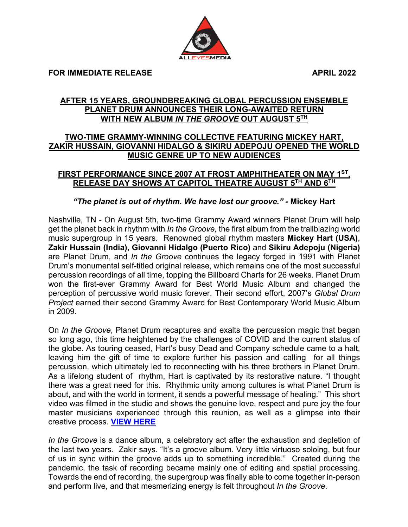**FOR IMMEDIATE RELEASE APRIL 2022**

## **AFTER 15 YEARS, GROUNDBREAKING GLOBAL PERCUSSION ENSEMBLE PLANET DRUM ANNOUNCES THEIR LONG-AWAITED RETURN WITH NEW ALBUM** *IN THE GROOVE* **OUT AUGUST 5TH**

## **TWO-TIME GRAMMY-WINNING COLLECTIVE FEATURING MICKEY HART, ZAKIR HUSSAIN, GIOVANNI HIDALGO & SIKIRU ADEPOJU OPENED THE WORLD MUSIC GENRE UP TO NEW AUDIENCES**

## **FIRST PERFORMANCE SINCE 2007 AT FROST AMPHITHEATER ON MAY 1ST, RELEASE DAY SHOWS AT CAPITOL THEATRE AUGUST 5TH AND 6TH**

## *"The planet is out of rhythm. We have lost our groove." -* **Mickey Hart**

Nashville, TN - On August 5th, two-time Grammy Award winners Planet Drum will help get the planet back in rhythm with *In the Groove,* the first album from the trailblazing world music supergroup in 15 years. Renowned global rhythm masters **Mickey Hart (USA)**, **Zakir Hussain (India), Giovanni Hidalgo (Puerto Rico)** and **Sikiru Adepoju (Nigeria)** are Planet Drum, and *In the Groove* continues the legacy forged in 1991 with Planet Drum's monumental self-titled original release, which remains one of the most successful percussion recordings of all time, topping the Billboard Charts for 26 weeks. Planet Drum won the first-ever Grammy Award for Best World Music Album and changed the perception of percussive world music forever. Their second effort, 2007's *Global Drum Project* earned their second Grammy Award for Best Contemporary World Music Album in 2009.

On *In the Groove*, Planet Drum recaptures and exalts the percussion magic that began so long ago, this time heightened by the challenges of COVID and the current status of the globe. As touring ceased, Hart's busy Dead and Company schedule came to a halt, leaving him the gift of time to explore further his passion and calling for all things percussion, which ultimately led to reconnecting with his three brothers in Planet Drum. As a lifelong student of rhythm, Hart is captivated by its restorative nature. "I thought there was a great need for this. Rhythmic unity among cultures is what Planet Drum is about, and with the world in torment, it sends a powerful message of healing." This short video was filmed in the studio and shows the genuine love, respect and pure joy the four master musicians experienced through this reunion, as well as a glimpse into their creative process. **VIEW HERE**

*In the Groove* is a dance album, a celebratory act after the exhaustion and depletion of the last two years. Zakir says. "It's a groove album. Very little virtuoso soloing, but four of us in sync within the groove adds up to something incredible." Created during the pandemic, the task of recording became mainly one of editing and spatial processing. Towards the end of recording, the supergroup was finally able to come together in-person and perform live, and that mesmerizing energy is felt throughout *In the Groove*.

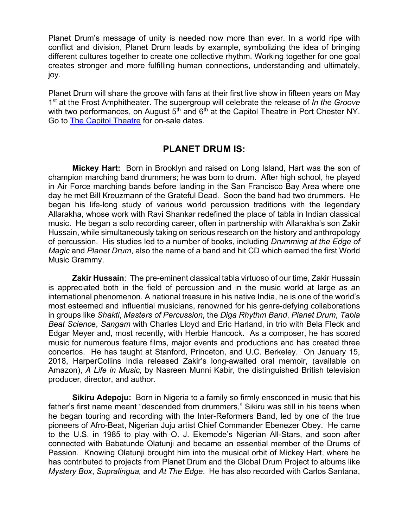Planet Drum's message of unity is needed now more than ever. In a world ripe with conflict and division, Planet Drum leads by example, symbolizing the idea of bringing different cultures together to create one collective rhythm. Working together for one goal creates stronger and more fulfilling human connections, understanding and ultimately, joy.

Planet Drum will share the groove with fans at their first live show in fifteen years on May 1st at the Frost Amphitheater. The supergroup will celebrate the release of *In the Groove*  with two performances, on August 5<sup>th</sup> and 6<sup>th</sup> at the Capitol Theatre in Port Chester NY. Go to **The Capitol Theatre for on-sale dates.** 

# **PLANET DRUM IS:**

**Mickey Hart:** Born in Brooklyn and raised on Long Island, Hart was the son of champion marching band drummers; he was born to drum. After high school, he played in Air Force marching bands before landing in the San Francisco Bay Area where one day he met Bill Kreuzmann of the Grateful Dead. Soon the band had two drummers. He began his life-long study of various world percussion traditions with the legendary Allarakha, whose work with Ravi Shankar redefined the place of tabla in Indian classical music. He began a solo recording career, often in partnership with Allarakha's son Zakir Hussain, while simultaneously taking on serious research on the history and anthropology of percussion. His studies led to a number of books, including *Drumming at the Edge of Magic* and *Planet Drum*, also the name of a band and hit CD which earned the first World Music Grammy.

**Zakir Hussain**: The pre-eminent classical tabla virtuoso of our time, Zakir Hussain is appreciated both in the field of percussion and in the music world at large as an international phenomenon. A national treasure in his native India, he is one of the world's most esteemed and influential musicians, renowned for his genre-defying collaborations in groups like *Shakti*, *Masters of Percussion*, the *Diga Rhythm Band*, *Planet Drum*, *Tabla Beat Scienc*e, *Sangam* with Charles Lloyd and Eric Harland, in trio with Bela Fleck and Edgar Meyer and, most recently, with Herbie Hancock. As a composer, he has scored music for numerous feature films, major events and productions and has created three concertos. He has taught at Stanford, Princeton, and U.C. Berkeley. On January 15, 2018, HarperCollins India released Zakir's long-awaited oral memoir, (available on Amazon), *A Life in Music*, by Nasreen Munni Kabir, the distinguished British television producer, director, and author.

**Sikiru Adepoju:** Born in Nigeria to a family so firmly ensconced in music that his father's first name meant "descended from drummers," Sikiru was still in his teens when he began touring and recording with the Inter-Reformers Band, led by one of the true pioneers of Afro-Beat, Nigerian Juju artist Chief Commander Ebenezer Obey. He came to the U.S. in 1985 to play with O. J. Ekemode's Nigerian All-Stars, and soon after connected with Babatunde Olatunji and became an essential member of the Drums of Passion. Knowing Olatunji brought him into the musical orbit of Mickey Hart, where he has contributed to projects from Planet Drum and the Global Drum Project to albums like *Mystery Box*, *Supralingua,* and *At The Edge*. He has also recorded with Carlos Santana,